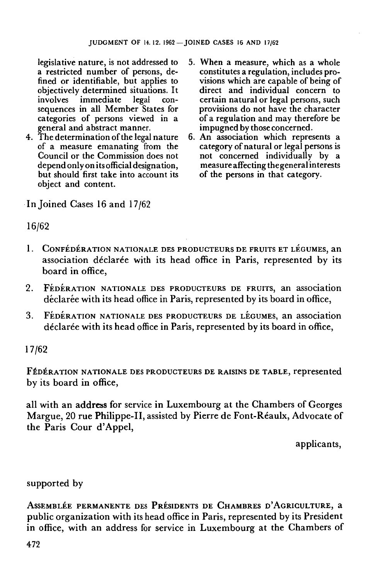legislative nature, is not addressed to <sup>a</sup> restricted number of persons, defined or identifiable, but applies to objectively determined situations. It<br>involves immediate legal coninvolves immediate sequences in all Member States for categories of persons viewed in a general and abstract manner.

- **4. The determination of the legal nature** of <sup>a</sup> measure emanating from the Council or the Commission does not depend only on its official designation. but should first take into account its object and content.
- 5. When a measure, which as a whole constitutes <sup>a</sup> regulation, includes provisions which are capable of being of direct and individual concern to certain natural or legal persons, such provisions do not have the character of <sup>a</sup> regulation and may therefore be impugned by those concerned.
- 6. An association which represents a category of natural or legal persons is not concerned individually by a measure affecting the general interests of the persons in that category.

InJoined Cases <sup>16</sup> and 17/62

16/62

- l. Confédération nationale des producteurs de fruits et légumes, an association déclarée with its head office in Paris, represented by its board in office,
- 2. FÉDÉRATION NATIONALE DES PRODUCTEURS DE FRUITS , an association declarée with its head office in Paris, represented by its board in office,
- 3. FÉDÉRATION NATIONALE DES PRODUCTEURS DE LÉGUMES , an association declarée with its head office in Paris, represented by its board in office,

17/62

Fédération nationale des producteurs de raisins de table, represented by its board in office,

all with an address for service in Luxembourg at the Chambers of Georges Margue, 20 rue Philippe-II, assisted by Pierre de Font-Réaulx, Advocate of the Paris Cour d'Appel,

applicants,

supported by

ASSEMBLÉE PERMANENTE DES PRÉSIDENTS DE CHAMBRES D'AGRICULTURE , a public organization with its head office in Paris, represented by its President in office, with an address for service in Luxembourg at the Chambers of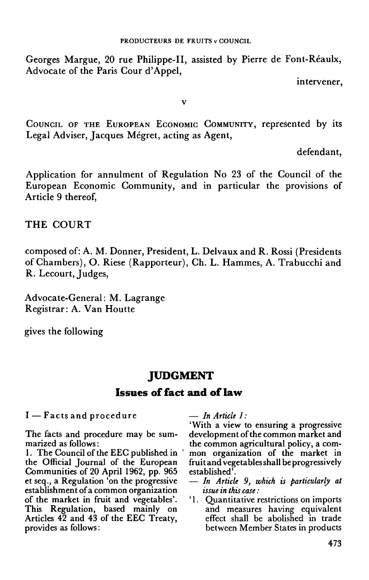Georges Margue, 20 rue Philippe-II, assisted by Pierre de Font-Réaulx, Advocate of the Paris Cour d'Appel,

intervener,

v

COUNCIL OF THE EUROPEAN ECONOMIC COMMUNITY, represented by its Legal Adviser, Jacques Mégret, acting as Agent,

defendant,

Application for annulment of Regulation No 23 of the Council of the European Economic Community, and in particular the provisions of Article <sup>9</sup> thereof,

THE COURT

composed of: A. M. Donner, President, L. Delvaux and R. Rossi (Presidents ofChambers), O. Riese (Rapporteur), Ch. L. Hammes, A. Trabucchi and R. Lecourt, Judges,

Advocate-General: M. Lagrange Registrar: A. Van Houtte

gives the following

## JUDGMENT

## Issues of fact and of law

I — Facts and procedure

The facts and procedure may be summarized as follows:

1. The Council of the EEC published in the Official Journal of the European Communities of 20 April 1962, pp. 965 et seq., a Regulation 'on the progressive establishment ofa common organization of the market in fruit and vegetables'. This Regulation, based mainly on Articles 42 and 43 of the EEC Treaty, provides as follows:

*— In Article I :*

'With <sup>a</sup> view to ensuring <sup>a</sup> progressive development of the common market and the common agricultural policy, <sup>a</sup> common organization of the market in fruit and vegetables shall be progressively established'.

- *— In Article 9, which is particularly at issue in this case:*
- 1. Quantitative restrictions on imports and measures having equivalent effect shall be abolished in trade between Member States in products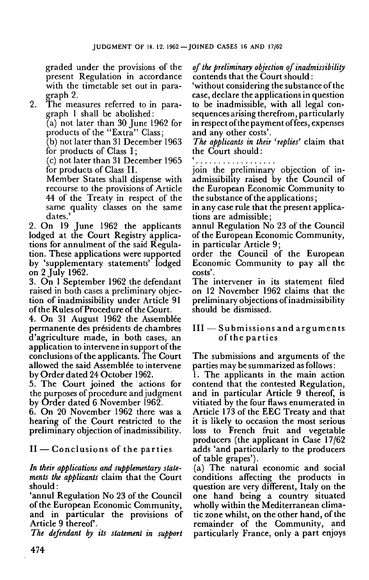graded under the provisions of the present Regulation in accordance with the timetable set out in paragraph 2.

2. The measures referred to in paragraph I shall be abolished:

(a) not later than 30 June 1962 for products of the "Extra" Class;

(b) not later than <sup>31</sup> December 1963 for products of Class I;

(c) not later than <sup>31</sup> December 1965 for products of Class II.

Member States shall dispense with recourse to the provisions of Article 44 of the Treaty in respect of the same quality classes on the same dates.'

2. On 19 June 1962 the applicants lodged at the Court Registry applications for annulment of the said Regulation. These applications were supported by 'supplementary statements' lodged on <sup>2</sup> July 1962.

3. On <sup>1</sup> September 1962 the defendant raised in both cases a preliminary objection of inadmissibility under Article <sup>91</sup> of the Rules of Procedure of the Court.

4. On 31 August 1962 the Assemblée permanente des présidents de chambres d'agriculture made, in both cases, an application to intervene in support of the conclusions of the applicants. The Court allowed the said Assemblée to intervene by Order dated 24 October 1962.

5. The Court joined the actions for the purposes of procedure and judgment by Order dated <sup>6</sup> November 1962.

6. On 20 November 1962 there was a hearing of the Court restricted to the preliminary objection of inadmissibility.

II — Conclusions of the parties

*In their applications and supplementary statements the applicants* claim that the Court should:

'annul Regulation No 23 of the Council of the European Economic Community, and in particular the provisions of Article 9 thereof.

*The defendant by its statement in support*

*of the preliminary objection ofinadmissibility* contends that the Court should:

without considering the substance of the case, declare the applications in question to be inadmissible, with all legal consequences arising therefrom, particularly in respect of the payment of fees, expenses and any other costs'.

*The applicants in their 'replies'* claim that the Court should:

join the preliminary objection of inadmissibility raised by the Council of the European Economic Community to the substance of the applications;

in any case rule that the present applications are admissible;

annul Regulation No 23 of the Council of the European Economic Community, in particular Article 9;

order the Council of the European Economic Community to pay all the costs'.

The intervener in its statement filed on <sup>12</sup> November 1962 claims that the preliminary objections of inadmissibility should be dismissed.

## III — Submissions and arguments of the parties

The submissions and arguments of the parties may be summarized as follows:

1. The applicants in the main action contend that the contested Regulation, and in particular Article <sup>9</sup> thereof, is vitiated by the four flaws enumerated in Article <sup>173</sup> of the EEC Treaty and that it is likely to occasion the most serious loss to French fruit and vegetable producers (the applicant in Case 17/62 adds 'and particularly to the producers of table grapes').

(a) The natural economic and social conditions affecting the products in question are very different, Italy on the one hand being a country situated wholly within the Mediterranean climatic zone whilst, on the other hand, of the<br>remainder of the Community, and remainder of the Community, particularly France, only <sup>a</sup> part enjoys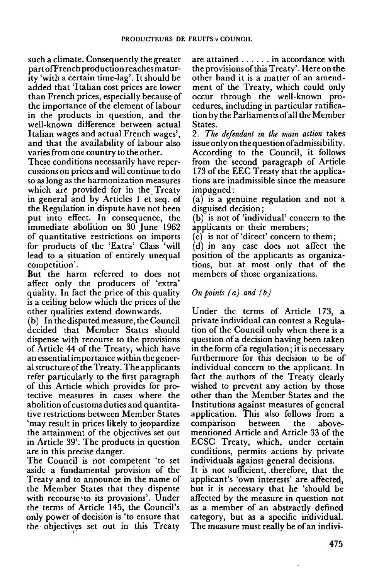such a climate. Consequently the greater partof French production reaches maturity 'with <sup>a</sup> certain time-lag'. It should be added that 'Italian cost prices are lower than French prices, especially because of the importance of the element of labour in the products in question, and the well-known difference between actual Italian wages and actual French wages', and that the availability of labour also varies from one country to the other.

These conditions necessarily have repercussions on prices and will continue to do so as long as the harmonization measures which are provided for in the Treaty in general and by Articles <sup>1</sup> et seq. of the Regulation in dispute have not been put into effect. In consequence, the immediate abolition on 30 June 1962 of quantitative restrictions on imports for products of the 'Extra' Class 'will lead to <sup>a</sup> situation of entirely unequal competition'.

But the harm referred to does not affect only the producers of 'extra' quality. In fact the price of this quality is a ceiling below which the prices of the other qualities extend downwards.

(b) In the disputed measure, the Council decided that Member States should dispense with recourse to the provisions of Article 44 of the Treaty, which have an essential importance within the general structure ofthe Treaty. The applicants refer particularly to the first paragraph of this Article which provides for protective measures in cases where the abolition of customs duties and quantitative restrictions between Member States 'may result in prices likely to jeopardize the attainment of the objectives set out in Article 39'. The products in question are in this precise danger.

The Council is not competent 'to set aside a fundamental provision of the Treaty and to announce in the name of the Member States that they dispense with recourse' to its provisions'. Under the terms of Article 145, the Council's only power of decision is 'to ensure that the objectives set out in this Treaty

are attained  $\dots$  in accordance with the provisions ofthis Treaty'. Here on the other hand it is <sup>a</sup> matter of an amendment of the Treaty, which could only occur through the well-known procedures, including in particular ratification by the Parliaments ofall the Member States.

2. *The defendant in the main action* takes issue only on the question of admissibility. According to the Council, it follows from the second paragraph of Article <sup>173</sup> of the EEC Treaty that the applications are inadmissible since the measure impugned:

(a) is <sup>a</sup> genuine regulation and not a disguised decision;

 $(b)$  is not of 'individual' concern to the applicants or their members;

(c) is not of 'direct' concern to them;

(d) in any case does not affect the position of the applicants as organizations, but at most only that of the members of those organizations.

#### *On points (a) and (b)*

Under the terms of Article 173, a private individual can contest <sup>a</sup> Regulation of the Council only when there is <sup>a</sup> question of a decision having been taken in the form of a regulation; it is necessary furthermore for this decision to be of individual concern to the applicant. In fact the authors of the Treaty clearly wished to prevent any action by those other than the Member States and the Institutions against measures of general application. This also follows from a comparison between the abovementioned Article and Article 33 of the ECSC Treaty, which, under certain conditions, permits actions by private individuals against general decisions.

It is not sufficient, therefore, that the applicant's 'own interests' are affected, but it is necessary that he 'should be affected by the measure in question not as <sup>a</sup> member of an abstractly defined category, but as <sup>a</sup> specific individual. The measure must really be of an indivi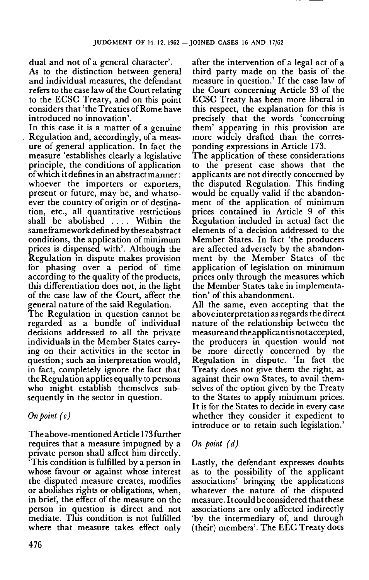dual and not of a general character'. As to the distinction between general and individual measures, the defendant refers to the case law of the Court relating to the ECSC Treaty, and on this point considers that 'the Treaties of Rome have introduced no innovation'.

In this case it is <sup>a</sup> matter of <sup>a</sup> genuine Regulation and, accordingly, of a measure of general application. In fact the measure 'establishes clearly a legislative principle, the conditions of application ofwhich it defines in an abstract manner: whoever the importers or exporters, present or future, may be, and whatsoever the country of origin or of destination, etc., all quantitative restrictions shall be abolished ....Within the sameframeworkdefined by theseabstract conditions, the application of minimum prices is dispensed with'. Although the Regulation in dispute makes provision for phasing over <sup>a</sup> period of time according to the quality of the products, this differentiation does not, in the light of the case law of the Court, affect the general nature of the said Regulation.

The Regulation in question cannot be regarded as a bundle of individual decisions addressed to all the private individuals in the Member States carrying on their activities in the sector in question; such an interpretation would, in fact, completely ignore the fact that the Regulation applies equally to persons who might establish themselves subsequently in the sector in question.

#### *On point (c)*

Theabove-mentionedArticle <sup>173</sup> further requires that a measure impugned by a private person shall affect him directly. 'This condition is fulfilled by <sup>a</sup> person in whose favour or against whose interest the disputed measure creates, modifies or abolishes rights or obligations, when, in brief, the effect of the measure on the person in question is direct and not mediate. This condition is not fulfilled where that measure takes effect only after the intervention of a legal act of a third party made on the basis of the measure in question.' If the case law of the Court concerning Article <sup>33</sup> of the ECSC Treaty has been more liberal in this respect, the explanation for this is precisely that the words 'concerning them' appearing in this provision are more widely drafted than the corresponding expressions in Article 173.

The application of these considerations to the present case shows that the applicants are not directly concerned by the disputed Regulation. This finding would be equally valid if the abandonment of the application of minimum prices contained in Article 9 of this Regulation included in actual fact the elements of a decision addressed to the Member States. In fact 'the producers are affected adversely by the abandonment by the Member States of the application of legislation on minimum prices only through the measures which the Member States take in implementation' ofthis abandonment.

AH the same, even accepting that the aboveinterpretationas regards the direct nature of the relationship between the measure andthe applicant is not accepted, the producers in question would not be more directly concerned by the Regulation in dispute. 'In fact the Treaty does not give them the right, as against their own States, to avail themselves of the option given by the Treaty to the States to apply minimum prices. It is for the States to decide in every case whether they consider it expedient to introduce or to retain such legislation.'

#### *On point (d)*

Lastly, the defendant expresses doubts as to the possibility of the applicant associations'bringing the applications whatever the nature of the disputed measure. It couldbeconsidered thatthese associations are only affected indirectly 'by the intermediary of, and through (their) members'. The EEC Treaty does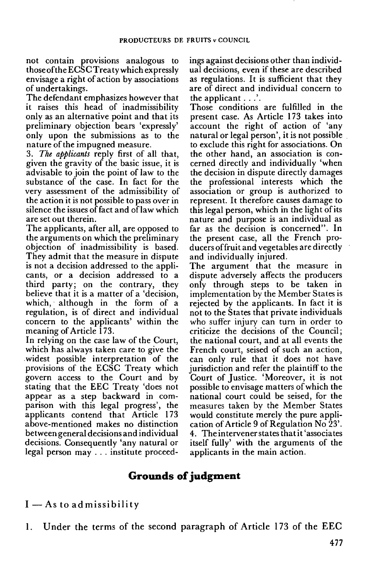not contain provisions analogous to those oftheECSC Treaty which expressly envisage a right of action by associations of undertakings.

The defendant emphasizes however that it raises this head of inadmissibility only as an alternative point and that its preliminary objection bears 'expressly' only upon the submissions as to the nature of the impugned measure.

*5. The applicants* reply first of all that, given the gravity of the basic issue, it is advisable to join the point of law to the substance of the case. In fact for the very assessment of the admissibility of the action it is not possible to pass over in silence the issues offact and oflaw which are set out therein.

The applicants, after all, are opposed to the arguments on which the preliminary objection of inadmissibility is based. They admit that the measure in dispute is not a decision addressed to the applicants, or <sup>a</sup> decision addressed to <sup>a</sup> third party; on the contrary, they believe that it is <sup>a</sup> matter of <sup>a</sup> 'decision, which, although in the form of <sup>a</sup> regulation, is of direct and individual concern to the applicants' within the meaning of Article 173.

In relying on the case law of the Court, which has always taken care to give the widest possible interpretation of the provisions of the ECSC Treaty which govern access to the Court and by stating that the EEC Treaty 'does not appear as a step backward in comparison with this legal progress', the applicants contend that Article 173 above-mentioned makes no distinction between general decisions and individual decisions. Consequently 'any natural or legal person may . . . institute proceedings against decisions other than individual decisions, even if these are described as regulations. It is sufficient that they are of direct and individual concern to the applicant . . .'.

Those conditions are fulfilled in the present case. As Article 173 takes into account the right of action of 'any natural or legal person', it is not possible to exclude this right for associations. On the other hand, an association is concerned directly and individually 'when the decision in dispute directly damages the professional interests which the association or group is authorized to represent. It therefore causes damage to this legal person, which in the light ofits nature and purpose is an individual as far as the decision is concerned". In the present case, all the French producers offruit and vegetables are directly and individually injured.

The argument that the measure in dispute adversely affects the producers only through steps to be taken in implementation by the Member States is rejected by the applicants. In fact it is not to the States that private individuals who suffer injury can turn in order to criticize the decisions of the Council; the national court, and at all events the French court, seised of such an action, can only rule that it does not have jurisdiction and refer the plaintiff to the Court of Justice. 'Moreover, it is not possible to envisage matters of which the national court could be seised, for the measures taken by the Member States would constitute merely the pure application of Article 9 of Regulation No 23'. 4. The intervener states that it 'associates itself fully' with the arguments of the applicants in the main action.

## Grounds of judgment

I — As to admissibility

1. Under the terms of the second paragraph of Article 173 of the EEC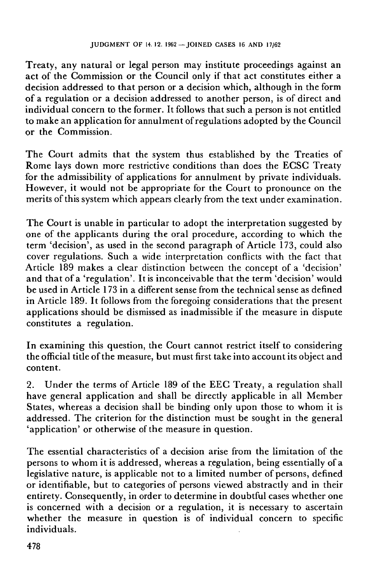Treaty, any natural or legal person may institute proceedings against an act of the Commission or the Council only if that act constitutes either <sup>a</sup> decision addressed to that person or <sup>a</sup> decision which, although in the form of <sup>a</sup> regulation or <sup>a</sup> decision addressed to another person, is of direct and individual concern to the former. It follows that such <sup>a</sup> person is not entitled to make an application for annulment ofregulations adopted by the Council or the Commission.

The Court admits that the system thus established by the Treaties of Rome lays down more restrictive conditions than does the ECSC Treaty for the admissibility of applications for annulment by private individuals. However, it would not be appropriate for the Court to pronounce on the merits of this system which appears clearly from the text under examination.

The Court is unable in particular to adopt the interpretation suggested by one of the applicants during the oral procedure, according to which the term 'decision', as used in the second paragraph of Article 173, could also cover regulations. Such a wide interpretation conflicts with the fact that Article 189 makes a clear distinction between the concept of <sup>a</sup> 'decision' and that of <sup>a</sup> 'regulation'. It is inconceivable that the term 'decision' would be used in Article <sup>173</sup> in a different sense from the technical sense as defined in Article 189. It follows from the foregoing considerations that the present applications should be dismissed as inadmissible if the measure in dispute constitutes a regulation.

In examining this question, the Court cannot restrict itself to considering the official title of the measure, but must first take into account its object and content.

2. Under the terms of Article <sup>189</sup> of the EEC Treaty, <sup>a</sup> regulation shall have general application and shall be directly applicable in all Member States, whereas a decision shall be binding only upon those to whom it is addressed. The criterion for the distinction must be sought in the general 'application' or otherwise of the measure in question.

The essential characteristics of <sup>a</sup> decision arise from the limitation of the persons to whom it is addressed, whereas <sup>a</sup> regulation, being essentially of <sup>a</sup> legislative nature, is applicable not to <sup>a</sup> limited number of persons, defined or identifiable, but to categories of persons viewed abstractly and in their entirety. Consequently, in order to determine in doubtful cases whether one is concerned with <sup>a</sup> decision or <sup>a</sup> regulation, it is necessary to ascertain whether the measure in question is of individual concern to specific individuals.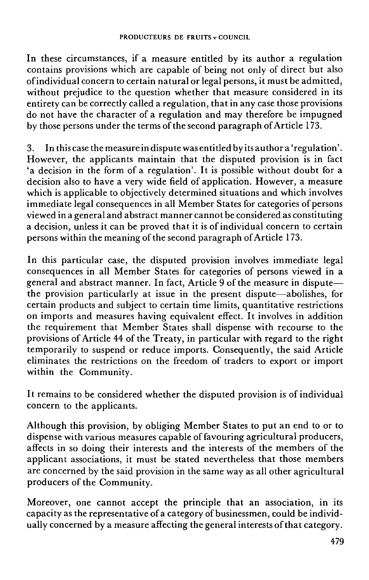In these circumstances, if <sup>a</sup> measure entitled by its author <sup>a</sup> regulation contains provisions which are capable of being not only of direct but also ofindividual concern to certain natural or legal persons, it must be admitted, without prejudice to the question whether that measure considered in its entirety can be correctly called <sup>a</sup> regulation, that in any case those provisions do not have the character of <sup>a</sup> regulation and may therefore be impugned by those persons under the terms of the second paragraph of Article  $173$ .

3. In this case the measureindispute was entitledby its author <sup>a</sup> 'regulation'. However, the applicants maintain that the disputed provision is in fact a decision in the form of a regulation'. It is possible without doubt for a decision also to have a very wide field of application. However, <sup>a</sup> measure which is applicable to objectively determined situations and which involves immediate legal consequences in all Member States for categories of persons viewed in <sup>a</sup> general and abstract manner cannot be considered as constituting a decision, unless it can be proved that it is of individual concern to certain persons within the meaning of the second paragraph of Article 173.

In this particular case, the disputed provision involves immediate legal consequences in all Member States for categories of persons viewed in a general and abstract manner. In fact, Article 9 of the measure in disputethe provision particularly at issue in the present dispute—abolishes, for certain products and subject to certain time limits, quantitative restrictions on imports and measures having equivalent effect. It involves in addition the requirement that Member States shall dispense with recourse to the provisions of Article 44 of the Treaty, in particular with regard to the right temporarily to suspend or reduce imports. Consequently, the said Article eliminates the restrictions on the freedom of traders to export or import within the Community.

It remains to be considered whether the disputed provision is of individual concern to the applicants.

Although this provision, by obliging Member States to put an end to or to dispense with various measures capable offavouring agricultural producers, affects in so doing their interests and the interests of the members of the applicant associations, it must be stated nevertheless that those members are concerned by the said provision in the same way as all other agricultural producers of the Community.

Moreover, one cannot accept the principle that an association, in its capacity as the representative of a category of businessmen, could be individually concerned by <sup>a</sup> measure affecting the general interests ofthat category.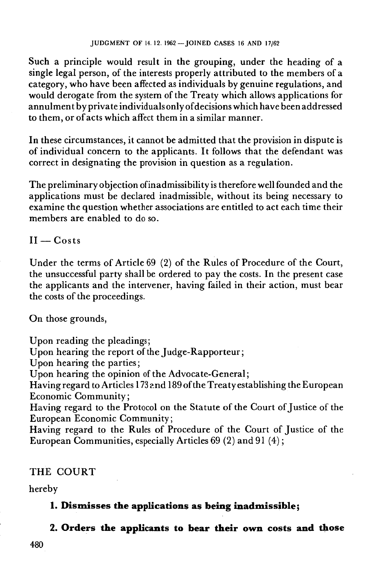Such <sup>a</sup> principle would result in the grouping, under the heading of <sup>a</sup> single legal person, of the interests properly attributed to the members of <sup>a</sup> category, who have been affected as individuals by genuine regulations, and would derogate from the system of the Treaty which allows applications for annulment by private individuals only of decisions which have been addressed to them, or ofacts which affect them in <sup>a</sup> similar manner.

In these circumstances, it cannot be admitted that the provision in dispute is of individual concern to the applicants. It follows that the defendant was correct in designating the provision in question as <sup>a</sup> regulation.

The preliminary objection ofinadmissibility is therefore well founded and the applications must be declared inadmissible, without its being necessary to examine the question whether associations are entitled to act each time their members are enabled to do so.

II — Costs

Under the terms of Article 69 (2) of the Rules of Procedure of the Court, the unsuccessful party shall be ordered to pay the costs. In the present case the applicants and the intervener, having failed in their action, must bear the costs of the proceedings.

On those grounds,

Upon reading the pleadings; Upon hearing the report of the Judge-Rapporteur; Upon hearing the parties; Upon hearing the opinion of the Advocate-General; Having regard to Articles 173 and 189 of the Treaty establishing the European Economic Community; Having regard to the Protocol on the Statute of the Court of Justice of the European Economic Community; Having regard to the Rules of Procedure of the Court of Justice of the European Communities, especially Articles 69 (2) and <sup>91</sup> (4);

## THE COURT

hereby

1. Dismisses the applications as being inadmissible;

2. Orders the applicants to bear their own costs and those

480